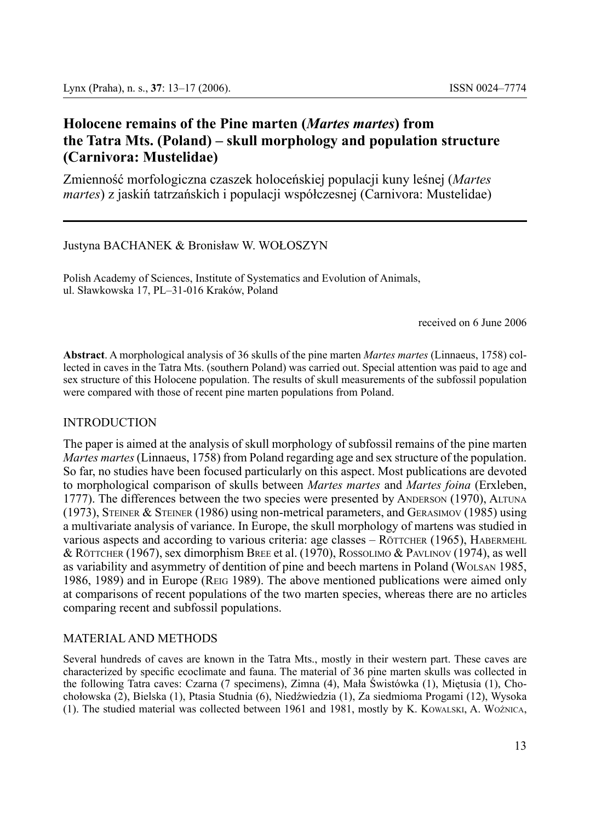# **Holocene remains of the Pine marten (***Martes martes***) from the Tatra Mts. (Poland) – skull morphology and population structure (Carnivora: Mustelidae)**

Zmienność morfologiczna czaszek holoceńskiej populacji kuny leśnej (*Martes martes*) z jaskiń tatrzańskich i populacji współczesnej (Carnivora: Mustelidae)

Justyna BACHANEK & Bronisław W. WOŁOSZYN

Polish Academy of Sciences, Institute of Systematics and Evolution of Animals, ul. Sławkowska 17, PL–31-016 Kraków, Poland

received on 6 June 2006

**Abstract**. A morphological analysis of 36 skulls of the pine marten *Martes martes* (Linnaeus, 1758) collected in caves in the Tatra Mts. (southern Poland) was carried out. Special attention was paid to age and sex structure of this Holocene population. The results of skull measurements of the subfossil population were compared with those of recent pine marten populations from Poland.

### INTRODUCTION

The paper is aimed at the analysis of skull morphology of subfossil remains of the pine marten *Martes martes* (Linnaeus, 1758) from Poland regarding age and sex structure of the population. So far, no studies have been focused particularly on this aspect. Most publications are devoted to morphological comparison of skulls between *Martes martes* and *Martes foina* (Erxleben, 1777). The differences between the two species were presented by ANDERSON (1970), ALTUNA  $(1973)$ , STEINER & STEINER  $(1986)$  using non-metrical parameters, and GERASIMOV  $(1985)$  using a multivariate analysis of variance. In Europe, the skull morphology of martens was studied in various aspects and according to various criteria: age classes – RÖTTCHER (1965), HABERMEHL & RÖTTCHER (1967), sex dimorphism Bree et al. (1970), ROSSOLIMO & PAVLINOV (1974), as well as variability and asymmetry of dentition of pine and beech martens in Poland (Wolsan 1985, 1986, 1989) and in Europe (Reig 1989). The above mentioned publications were aimed only at comparisons of recent populations of the two marten species, whereas there are no articles comparing recent and subfossil populations.

## MATERIAL AND METHODS

Several hundreds of caves are known in the Tatra Mts., mostly in their western part. These caves are characterized by specific ecoclimate and fauna. The material of 36 pine marten skulls was collected in the following Tatra caves: Czarna (7 specimens), Zimna (4), Mała Świstówka (1), Miętusia (1), Chochołowska (2), Bielska (1), Ptasia Studnia (6), Niedźwiedzia (1), Za siedmioma Progami (12), Wysoka (1). The studied material was collected between 1961 and 1981, mostly by K. Kowalski, A. Woźnica,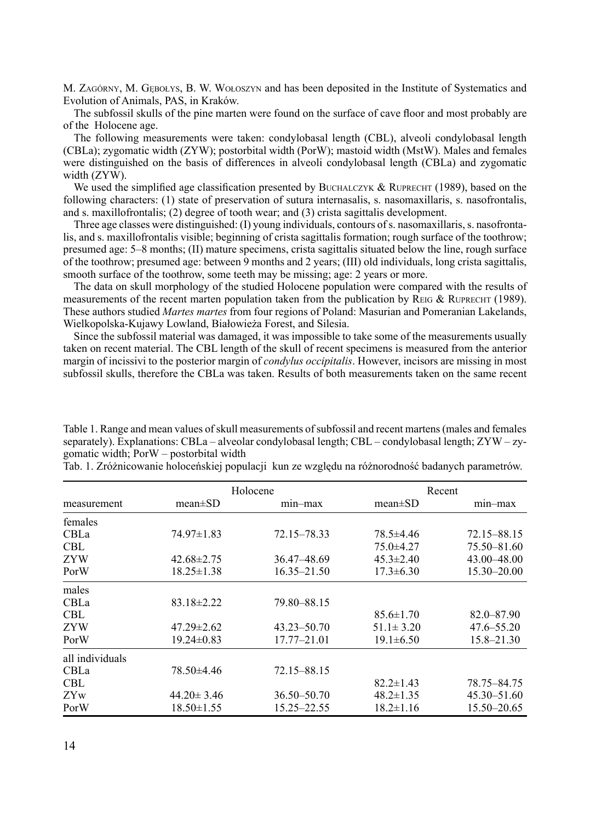M. ZAGÓRNY, M. GEBOŁYS, B. W. WOŁOSZYN and has been deposited in the Institute of Systematics and Evolution of Animals, PAS, in Kraków.

The subfossil skulls of the pine marten were found on the surface of cave floor and most probably are of the Holocene age.

The following measurements were taken: condylobasal length (CBL), alveoli condylobasal length (CBLa); zygomatic width (ZYW); postorbital width (PorW); mastoid width (MstW). Males and females were distinguished on the basis of differences in alveoli condylobasal length (CBLa) and zygomatic width (ZYW).

We used the simplified age classification presented by BUCHALCZYK & RUPRECHT (1989), based on the following characters: (1) state of preservation of sutura internasalis, s. nasomaxillaris, s. nasofrontalis, and s. maxillofrontalis; (2) degree of tooth wear; and (3) crista sagittalis development.

Three age classes were distinguished: (I) young individuals, contours of s. nasomaxillaris, s. nasofrontalis, and s. maxillofrontalis visible; beginning of crista sagittalis formation; rough surface of the toothrow; presumed age: 5–8 months; (II) mature specimens, crista sagittalis situated below the line, rough surface of the toothrow; presumed age: between 9 months and 2 years; (III) old individuals, long crista sagittalis, smooth surface of the toothrow, some teeth may be missing; age: 2 years or more.

The data on skull morphology of the studied Holocene population were compared with the results of measurements of the recent marten population taken from the publication by REIG & RUPRECHT (1989). These authors studied *Martes martes* from four regions of Poland: Masurian and Pomeranian Lakelands, Wielkopolska-Kujawy Lowland, Białowieża Forest, and Silesia.

Since the subfossil material was damaged, it was impossible to take some of the measurements usually taken on recent material. The CBL length of the skull of recent specimens is measured from the anterior margin of incissivi to the posterior margin of *condylus occipitalis*. However, incisors are missing in most subfossil skulls, therefore the CBLa was taken. Results of both measurements taken on the same recent

Table 1. Range and mean values of skull measurements of subfossil and recent martens (males and females separately). Explanations: CBLa – alveolar condylobasal length; CBL – condylobasal length; ZYW – zygomatic width; PorW – postorbital width

| measurement     | Holocene         |             | Recent          |                 |
|-----------------|------------------|-------------|-----------------|-----------------|
|                 | $mean \pm SD$    | min-max     | $mean \pm SD$   | min-max         |
| females         |                  |             |                 |                 |
| CBLa            | $74.97 \pm 1.83$ | 72.15–78.33 | 78.5±4.46       | 72.15–88.15     |
| <b>CBL</b>      |                  |             | $75.0 \pm 4.27$ | 75.50-81.60     |
| <b>ZYW</b>      | $42.68 \pm 2.75$ | 36.47–48.69 | $45.3 \pm 2.40$ | 43.00 - 48.00   |
| PorW            | $18.25 \pm 1.38$ | 16.35-21.50 | $17.3 \pm 6.30$ | $15.30 - 20.00$ |
| males           |                  |             |                 |                 |
| CBLa            | $83.18 \pm 2.22$ | 79.80-88.15 |                 |                 |
| <b>CBL</b>      |                  |             | $85.6 \pm 1.70$ | 82.0-87.90      |
| ZYW             | $47.29 \pm 2.62$ | 43.23–50.70 | $51.1 \pm 3.20$ | 47.6–55.20      |
| PorW            | $19.24 \pm 0.83$ | 17.77-21.01 | $19.1 \pm 6.50$ | $15.8 - 21.30$  |
| all individuals |                  |             |                 |                 |
| CBLa            | 78.50±4.46       | 72.15-88.15 |                 |                 |
| <b>CBL</b>      |                  |             | $82.2 \pm 1.43$ | 78.75-84.75     |
| ZYw             | $44.20 \pm 3.46$ | 36.50–50.70 | $48.2 \pm 1.35$ | 45.30 - 51.60   |
| PorW            | $18.50 \pm 1.55$ | 15.25–22.55 | $18.2 \pm 1.16$ | 15.50-20.65     |

Tab. 1. Zróżnicowanie holoceńskiej populacji kun ze względu na różnorodność badanych parametrów.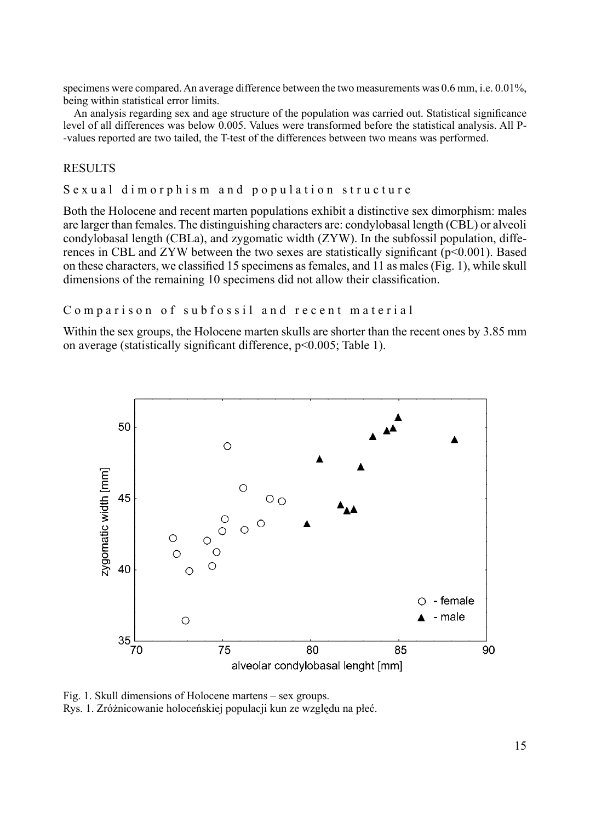specimens were compared. An average difference between the two measurements was 0.6 mm, i.e. 0.01%, being within statistical error limits.

An analysis regarding sex and age structure of the population was carried out. Statistical significance level of all differences was below 0.005. Values were transformed before the statistical analysis. All P- -values reported are two tailed, the T-test of the differences between two means was performed.

## **RESULTS**

Sexual dimorphism and population structure

Both the Holocene and recent marten populations exhibit a distinctive sex dimorphism: males are larger than females. The distinguishing characters are: condylobasal length (CBL) or alveoli condylobasal length (CBLa), and zygomatic width (ZYW). In the subfossil population, differences in CBL and ZYW between the two sexes are statistically significant ( $p \le 0.001$ ). Based on these characters, we classified 15 specimens as females, and 11 as males (Fig. 1), while skull dimensions of the remaining 10 specimens did not allow their classification.

```
Comparison of subfossil and recent material
```
Within the sex groups, the Holocene marten skulls are shorter than the recent ones by 3.85 mm on average (statistically significant difference, p<0.005; Table 1).



Fig. 1. Skull dimensions of Holocene martens – sex groups.

Rys. 1. Zróżnicowanie holoceńskiej populacji kun ze względu na płeć.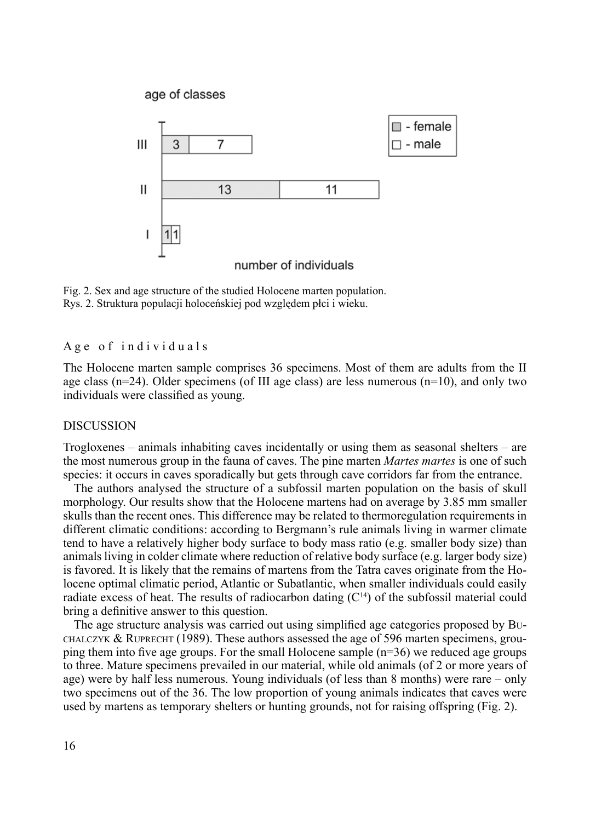

Fig. 2. Sex and age structure of the studied Holocene marten population. Rys. 2. Struktura populacji holoceńskiej pod względem płci i wieku.

Age of individuals

The Holocene marten sample comprises 36 specimens. Most of them are adults from the II age class  $(n=24)$ . Older specimens (of III age class) are less numerous  $(n=10)$ , and only two individuals were classified as young.

#### **DISCUSSION**

Trogloxenes – animals inhabiting caves incidentally or using them as seasonal shelters – are the most numerous group in the fauna of caves. The pine marten *Martes martes* is one of such species: it occurs in caves sporadically but gets through cave corridors far from the entrance.

The authors analysed the structure of a subfossil marten population on the basis of skull morphology. Our results show that the Holocene martens had on average by 3.85 mm smaller skulls than the recent ones. This difference may be related to thermoregulation requirements in different climatic conditions: according to Bergmann's rule animals living in warmer climate tend to have a relatively higher body surface to body mass ratio (e.g. smaller body size) than animals living in colder climate where reduction of relative body surface (e.g. larger body size) is favored. It is likely that the remains of martens from the Tatra caves originate from the Holocene optimal climatic period, Atlantic or Subatlantic, when smaller individuals could easily radiate excess of heat. The results of radiocarbon dating  $(C<sup>14</sup>)$  of the subfossil material could bring a definitive answer to this question.

The age structure analysis was carried out using simplified age categories proposed by Bu-CHALCZYK & RUPRECHT (1989). These authors assessed the age of 596 marten specimens, grouping them into five age groups. For the small Holocene sample  $(n=36)$  we reduced age groups to three. Mature specimens prevailed in our material, while old animals (of 2 or more years of age) were by half less numerous. Young individuals (of less than 8 months) were rare – only two specimens out of the 36. The low proportion of young animals indicates that caves were used by martens as temporary shelters or hunting grounds, not for raising offspring (Fig. 2).